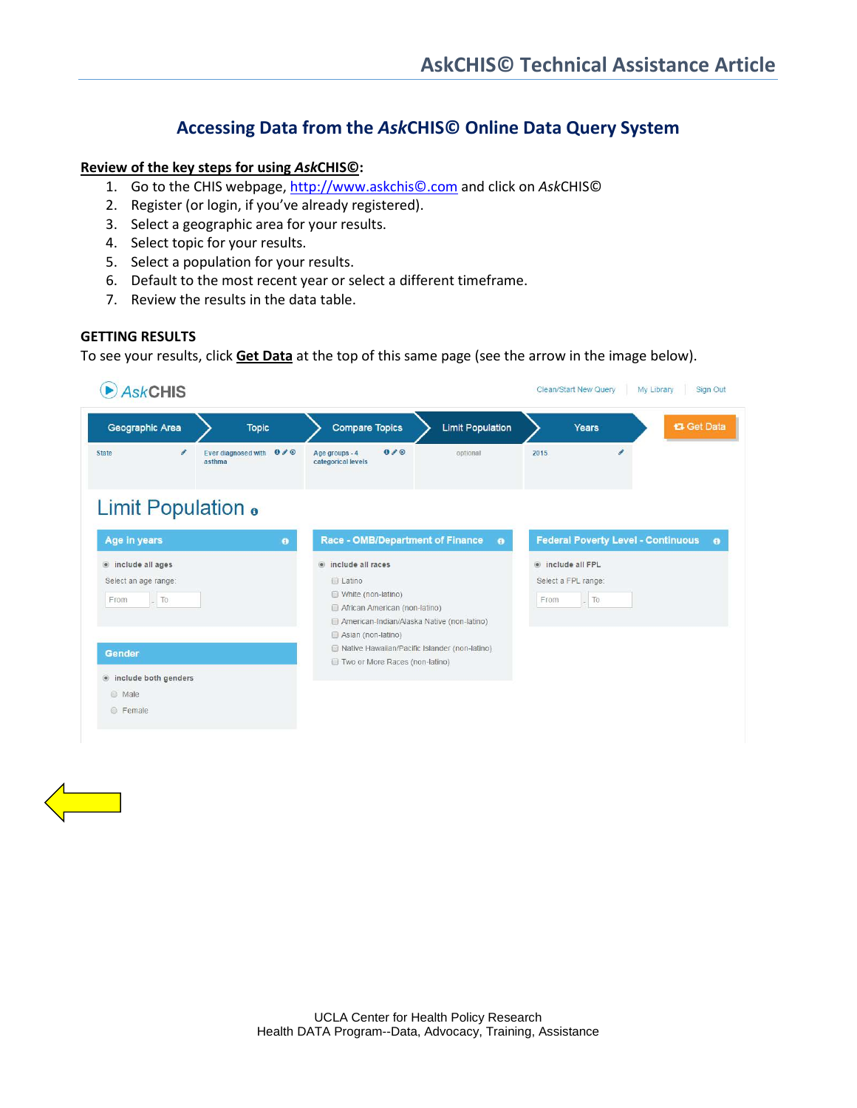# **Accessing Data from the** *Ask***CHIS© Online Data Query System**

#### **Review of the key steps for using** *Ask***CHIS©:**

- 1. Go to the CHIS webpage, [http://www.askchis©.com](http://www.askchis.com/) and click on *Ask*CHIS©
- 2. Register (or login, if you've already registered).
- 3. Select a geographic area for your results.
- 4. Select topic for your results.
- 5. Select a population for your results.
- 6. Default to the most recent year or select a different timeframe.
- 7. Review the results in the data table.

#### **GETTING RESULTS**

To see your results, click **Get Data** at the top of this same page (see the arrow in the image below).

| <b>AskCHIS</b>                                               |                                                  |                                      |                                                                                                                                                                     |  |                         | <b>Clean/Start New Query</b><br>My Library<br>Sign Out |                                                  |                                           |             |  |
|--------------------------------------------------------------|--------------------------------------------------|--------------------------------------|---------------------------------------------------------------------------------------------------------------------------------------------------------------------|--|-------------------------|--------------------------------------------------------|--------------------------------------------------|-------------------------------------------|-------------|--|
| Geographic Area                                              | <b>Topic</b>                                     |                                      | <b>Compare Topics</b>                                                                                                                                               |  | <b>Limit Population</b> |                                                        | Years                                            |                                           | t3 Get Data |  |
| v<br><b>State</b>                                            | Ever diagnosed with $0 \nearrow \odot$<br>asthma | Age groups - 4<br>categorical levels | 0/0                                                                                                                                                                 |  | optional                | 2015                                                   | i                                                |                                           |             |  |
| Limit Population .                                           |                                                  |                                      |                                                                                                                                                                     |  |                         |                                                        |                                                  |                                           |             |  |
| <b>Age in years</b>                                          |                                                  | $\bullet$                            | <b>Race - OMB/Department of Finance</b>                                                                                                                             |  | $\bullet$               |                                                        |                                                  | <b>Federal Poverty Level - Continuous</b> | $\bullet$   |  |
| linclude all ages<br>Select an age range:<br>$\_$ To<br>From |                                                  |                                      | (a) include all races<br><b>E</b> Latino<br>White (non-latino)<br>African American (non-latino)<br>American-Indian/Alaska Native (non-latino)<br>Asian (non-latino) |  |                         | From                                                   | include all FPL<br>Select a FPL range:<br>$-$ To |                                           |             |  |
| Gender                                                       |                                                  |                                      | Native Hawaiian/Pacific Islander (non-latino)<br>Two or More Races (non-latino)                                                                                     |  |                         |                                                        |                                                  |                                           |             |  |
| · include both genders<br>@ Male<br><b>E</b> Female          |                                                  |                                      |                                                                                                                                                                     |  |                         |                                                        |                                                  |                                           |             |  |

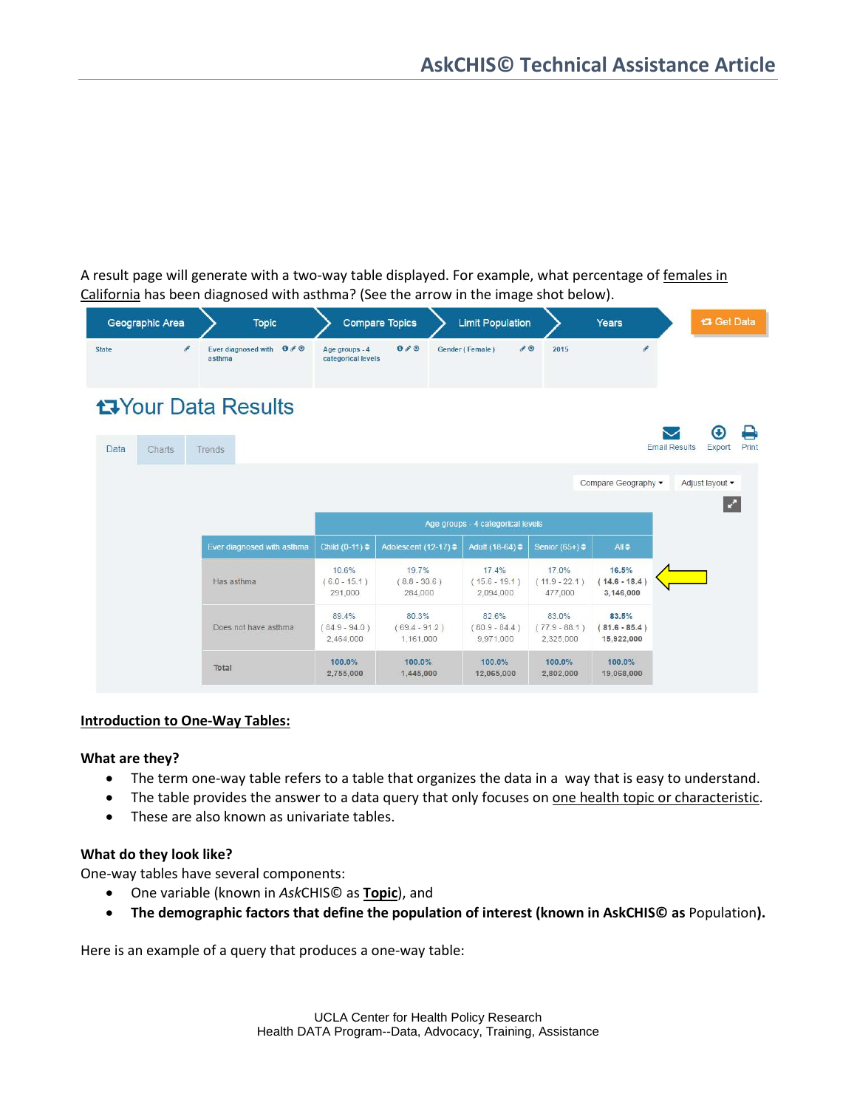A result page will generate with a two-way table displayed. For example, what percentage of females in California has been diagnosed with asthma? (See the arrow in the image shot below).

| Geographic Area            | <b>Topic</b>                                     |                                       | <b>Compare Topics</b>                 | <b>Limit Population</b>               |                                       | Years                                  |                      | <b>t3 Get Data</b>           |  |
|----------------------------|--------------------------------------------------|---------------------------------------|---------------------------------------|---------------------------------------|---------------------------------------|----------------------------------------|----------------------|------------------------------|--|
| o<br><b>State</b>          | Ever diagnosed with $0 \nearrow \odot$<br>asthma | Age groups - 4<br>categorical levels  | 0/0                                   | Gender (Female)                       | $\bullet$<br>2015                     | v                                      |                      |                              |  |
| <b>t</b> your Data Results |                                                  |                                       |                                       |                                       |                                       |                                        |                      | ⊖<br>$\boldsymbol{\epsilon}$ |  |
| Data<br>Charts             | Trends                                           |                                       |                                       |                                       |                                       |                                        | <b>Email Results</b> | <b>Print</b><br>Export       |  |
|                            |                                                  |                                       |                                       |                                       |                                       | Compare Geography -                    |                      | Adjust layout -              |  |
|                            |                                                  |                                       |                                       |                                       |                                       |                                        |                      | M                            |  |
|                            |                                                  |                                       |                                       | Age groups - 4 categorical levels     |                                       |                                        |                      |                              |  |
|                            | Ever diagnosed with asthma                       | Child $(0-11)$ $\div$                 | Adolescent (12-17) ≑                  | Adult (18-64) ≑                       | Senior $(65+)$ $\div$                 | $All \Leftrightarrow$                  |                      |                              |  |
|                            | Has asthma                                       | 10.6%<br>$(6.0 - 15.1)$<br>291.000    | 19.7%<br>$(8.8 - 30.6)$<br>284,000    | 17.4%<br>$(15.6 - 19.1)$<br>2,094,000 | 17.0%<br>$(11.9 - 22.1)$<br>477,000   | 16.5%<br>$(14.6 - 18.4)$<br>3,146,000  |                      |                              |  |
|                            | Does not have asthma                             | 89.4%<br>$(84.9 - 94.0)$<br>2.464.000 | 80.3%<br>$(69.4 - 91.2)$<br>1.161.000 | 82.6%<br>$(80.9 - 84.4)$<br>9.971.000 | 83.0%<br>$(77.9 - 88.1)$<br>2.325.000 | 83.5%<br>$(81.6 - 85.4)$<br>15,922,000 |                      |                              |  |
|                            | Total                                            | 100.0%<br>2,755,000                   | 100.0%<br>1,445,000                   | 100.0%<br>12,065,000                  | 100.0%<br>2,802,000                   | 100.0%<br>19,068,000                   |                      |                              |  |

#### **Introduction to One-Way Tables:**

### **What are they?**

- The term one-way table refers to a table that organizes the data in a way that is easy to understand.
- The table provides the answer to a data query that only focuses on <u>one health topic or characteristic</u>.
- These are also known as univariate tables.

### **What do they look like?**

One-way tables have several components:

- One variable (known in *Ask*CHIS© as **Topic**), and
- **The demographic factors that define the population of interest (known in AskCHIS© as** Population**).**

Here is an example of a query that produces a one-way table: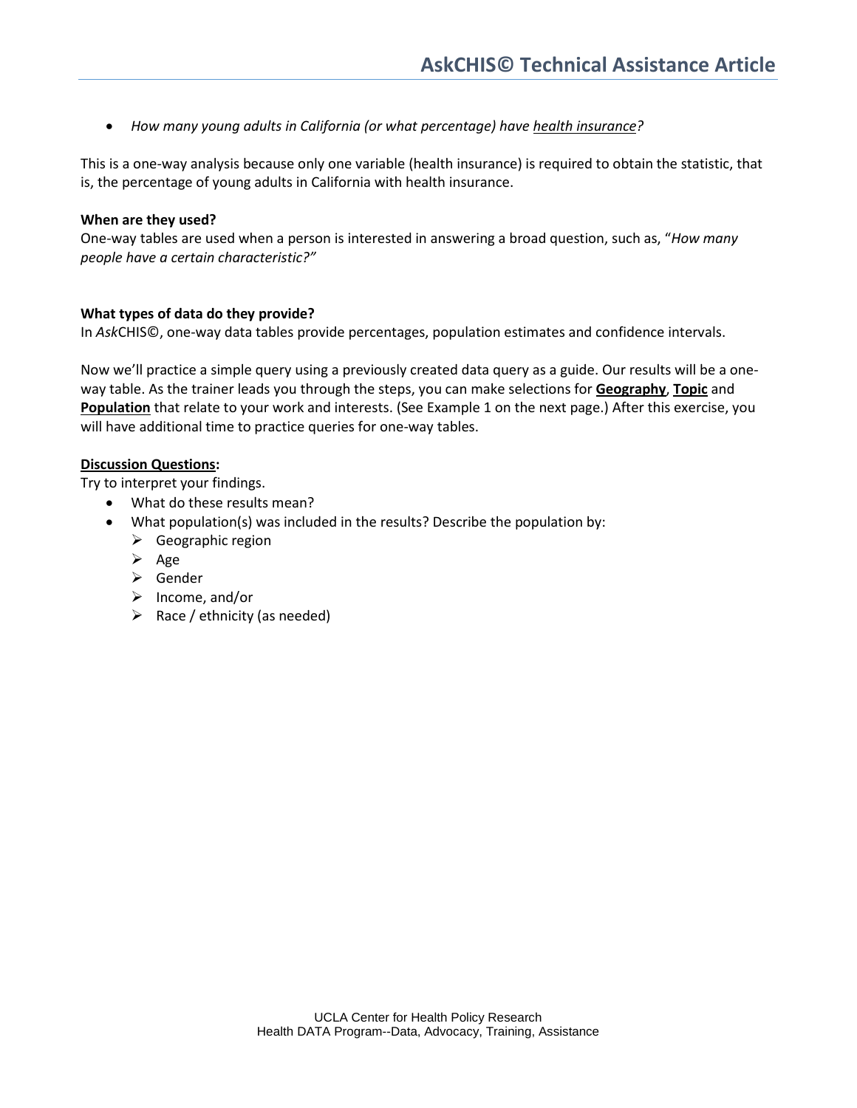• *How many young adults in California (or what percentage) have health insurance?*

This is a one-way analysis because only one variable (health insurance) is required to obtain the statistic, that is, the percentage of young adults in California with health insurance.

#### **When are they used?**

One-way tables are used when a person is interested in answering a broad question, such as, "*How many people have a certain characteristic?"*

#### **What types of data do they provide?**

In *Ask*CHIS©, one-way data tables provide percentages, population estimates and confidence intervals.

Now we'll practice a simple query using a previously created data query as a guide. Our results will be a oneway table. As the trainer leads you through the steps, you can make selections for **Geography**, **Topic** and **Population** that relate to your work and interests. (See Example 1 on the next page.) After this exercise, you will have additional time to practice queries for one-way tables.

### **Discussion Questions:**

Try to interpret your findings.

- What do these results mean?
- What population(s) was included in the results? Describe the population by:
	- $\triangleright$  Geographic region
	- $\triangleright$  Age
	- Gender
	- $\triangleright$  Income, and/or
	- $\triangleright$  Race / ethnicity (as needed)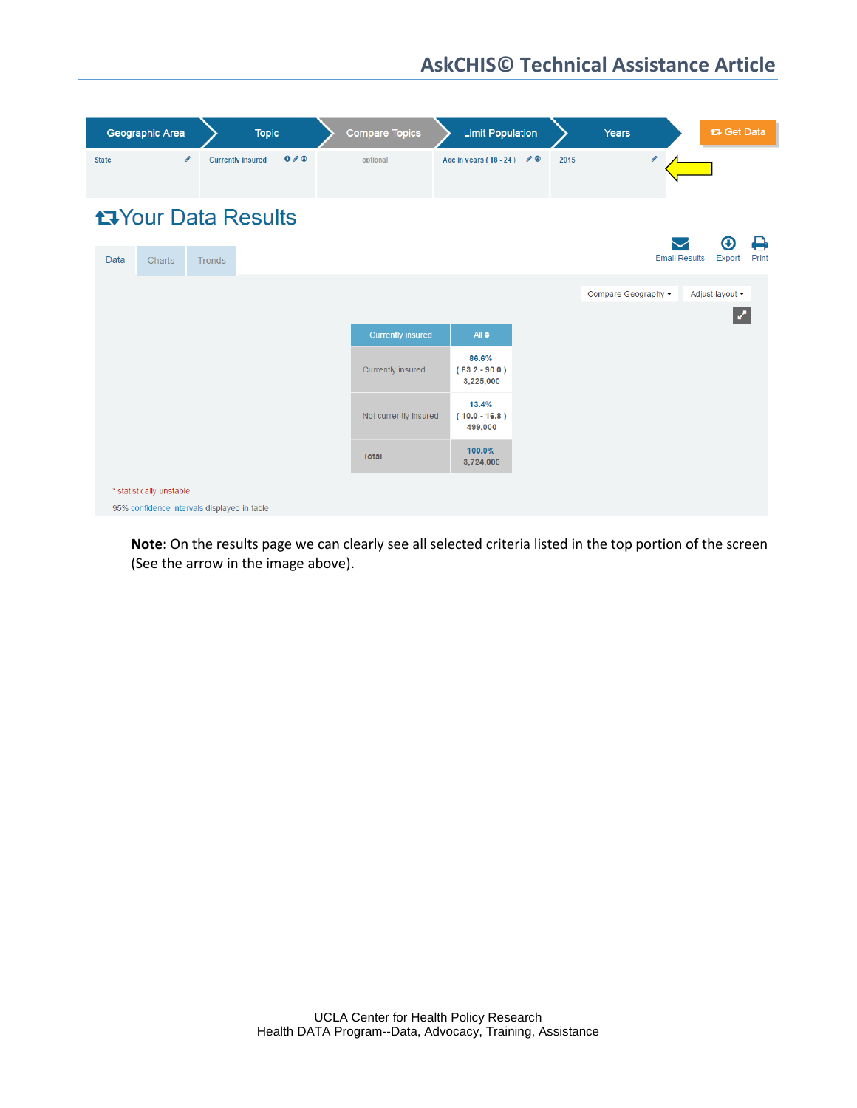| Geographic Area                             | <b>Topic</b>                    | <b>Compare Topics</b>                         | <b>Limit Population</b>                                   |      | Years               | t3 Get Data                                       |
|---------------------------------------------|---------------------------------|-----------------------------------------------|-----------------------------------------------------------|------|---------------------|---------------------------------------------------|
| $\mathscr{E}$<br><b>State</b>               | 0/0<br><b>Currently insured</b> | optional                                      | Age in years (18 - 24) $\mathscr{O}$                      | 2015 | v                   |                                                   |
| <b>t</b> your Data Results                  |                                 |                                               |                                                           |      |                     |                                                   |
| Data<br>Charts                              | <b>Trends</b>                   |                                               |                                                           |      |                     | ₿<br>o<br><b>Email Results</b><br>Print<br>Export |
|                                             |                                 |                                               |                                                           |      | Compare Geography v | Adjust layout ~                                   |
|                                             |                                 |                                               |                                                           |      |                     | Z                                                 |
|                                             |                                 | <b>Currently insured</b><br>Currently insured | All $\triangleq$<br>86.6%<br>$(83.2 - 90.0)$<br>3,225,000 |      |                     |                                                   |
|                                             |                                 | Not currently insured                         | 13.4%<br>$(10.0 - 16.8)$<br>499,000                       |      |                     |                                                   |
|                                             |                                 | <b>Total</b>                                  | 100.0%<br>3,724,000                                       |      |                     |                                                   |
| * statistically unstable                    |                                 |                                               |                                                           |      |                     |                                                   |
| 95% confidence intervals displayed in table |                                 |                                               |                                                           |      |                     |                                                   |

**Note:** On the results page we can clearly see all selected criteria listed in the top portion of the screen (See the arrow in the image above).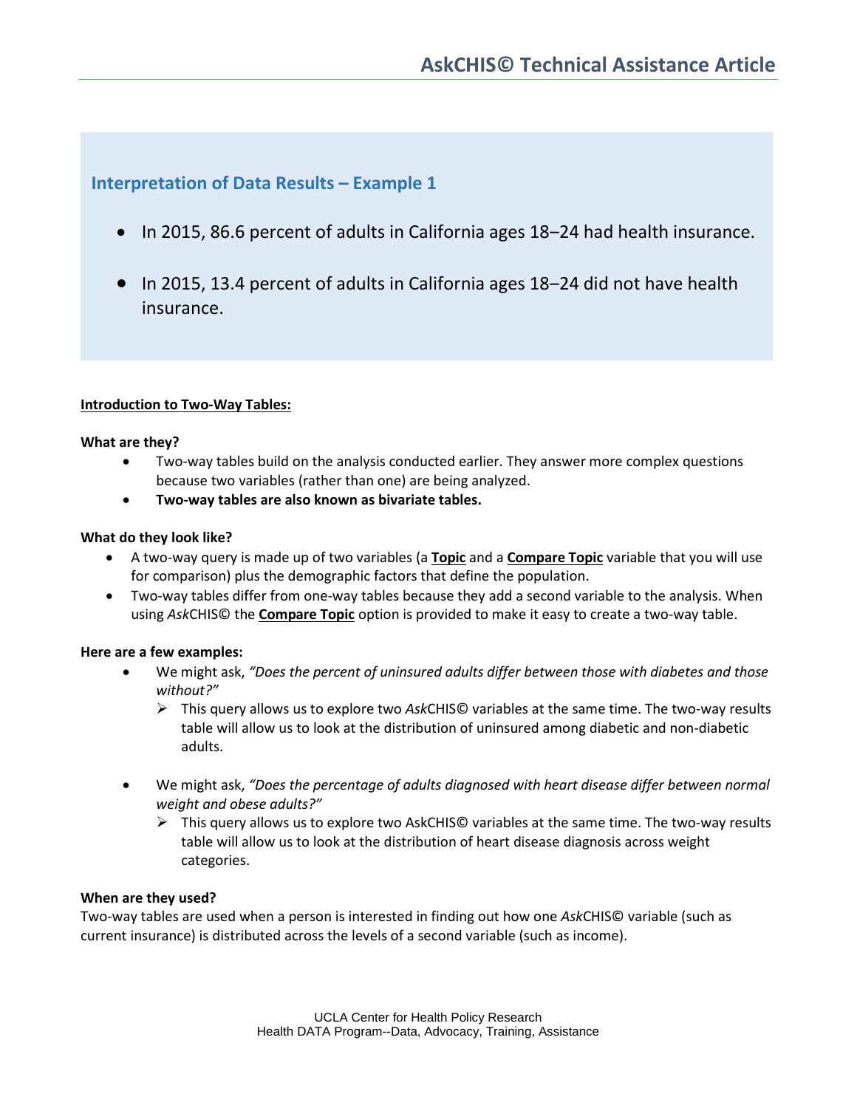# **Interpretation of Data Results – Example 1**

- In 2015, 86.6 percent of adults in California ages 18–24 had health insurance.
- In 2015, 13.4 percent of adults in California ages 18–24 did not have health insurance.

## **Introduction to Two-Way Tables:**

### **What are they?**

- Two-way tables build on the analysis conducted earlier. They answer more complex questions because two variables (rather than one) are being analyzed.
- **Two-way tables are also known as bivariate tables.**

## **What do they look like?**

- A two-way query is made up of two variables (a **Topic** and a **Compare Topic** variable that you will use for comparison) plus the demographic factors that define the population.
- Two-way tables differ from one-way tables because they add a second variable to the analysis. When using *Ask*CHIS© the **Compare Topic** option is provided to make it easy to create a two-way table.

# **Here are a few examples:**

- We might ask, *"Does the percent of uninsured adults differ between those with diabetes and those without?"*
	- This query allows us to explore two *Ask*CHIS© variables at the same time. The two-way results table will allow us to look at the distribution of uninsured among diabetic and non-diabetic adults.
- We might ask, *"Does the percentage of adults diagnosed with heart disease differ between normal weight and obese adults?"*
	- $\triangleright$  This query allows us to explore two AskCHIS© variables at the same time. The two-way results table will allow us to look at the distribution of heart disease diagnosis across weight categories.

### **When are they used?**

Two-way tables are used when a person is interested in finding out how one *Ask*CHIS© variable (such as current insurance) is distributed across the levels of a second variable (such as income).